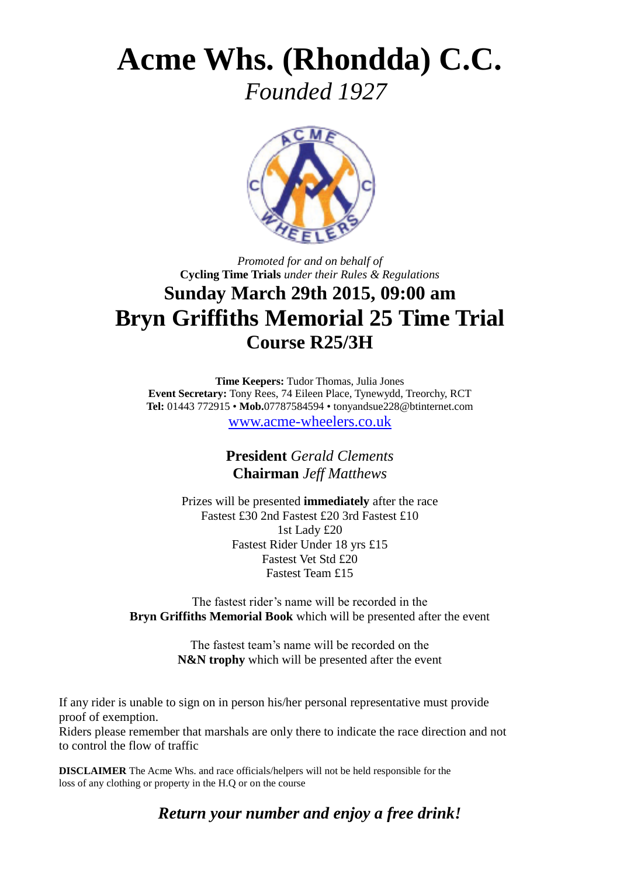## **Acme Whs. (Rhondda) C.C.**

 *Founded 1927*



## *Promoted for and on behalf of* **Cycling Time Trials** *under their Rules & Regulations* **Sunday March 29th 2015, 09:00 am Bryn Griffiths Memorial 25 Time Trial Course R25/3H**

**Time Keepers:** Tudor Thomas, Julia Jones **Event Secretary:** Tony Rees, 74 Eileen Place, Tynewydd, Treorchy, RCT **Tel:** 01443 772915 • **Mob.**07787584594 • tonyandsue228@btinternet.com

[www.acme-wheelers.co.uk](http://www.acme-wheelers.co.uk/)

**President** *Gerald Clements* **Chairman** *Jeff Matthews*

Prizes will be presented **immediately** after the race Fastest £30 2nd Fastest £20 3rd Fastest £10 1st Lady £20 Fastest Rider Under 18 yrs £15 Fastest Vet Std £20 Fastest Team £15

The fastest rider's name will be recorded in the **Bryn Griffiths Memorial Book** which will be presented after the event

> The fastest team's name will be recorded on the **N&N trophy** which will be presented after the event

If any rider is unable to sign on in person his/her personal representative must provide proof of exemption.

Riders please remember that marshals are only there to indicate the race direction and not to control the flow of traffic

**DISCLAIMER** The Acme Whs. and race officials/helpers will not be held responsible for the loss of any clothing or property in the H.Q or on the course

*Return your number and enjoy a free drink!*